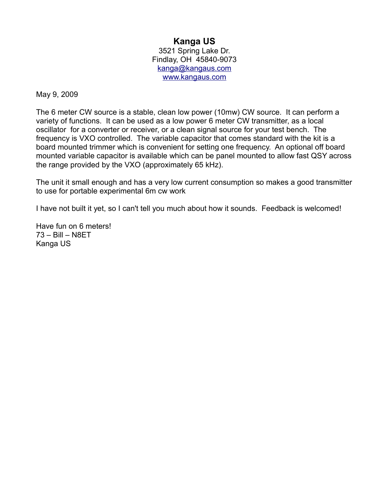## **Kanga US**

3521 Spring Lake Dr. Findlay, OH 45840-9073 [kanga@kangaus.com](mailto:kanga@kangaus.com) [www.kangaus.com](http://www.kangaus.com/)

May 9, 2009

The 6 meter CW source is a stable, clean low power (10mw) CW source. It can perform a variety of functions. It can be used as a low power 6 meter CW transmitter, as a local oscillator for a converter or receiver, or a clean signal source for your test bench. The frequency is VXO controlled. The variable capacitor that comes standard with the kit is a board mounted trimmer which is convenient for setting one frequency. An optional off board mounted variable capacitor is available which can be panel mounted to allow fast QSY across the range provided by the VXO (approximately 65 kHz).

The unit it small enough and has a very low current consumption so makes a good transmitter to use for portable experimental 6m cw work

I have not built it yet, so I can't tell you much about how it sounds. Feedback is welcomed!

Have fun on 6 meters! 73 – Bill – N8ET Kanga US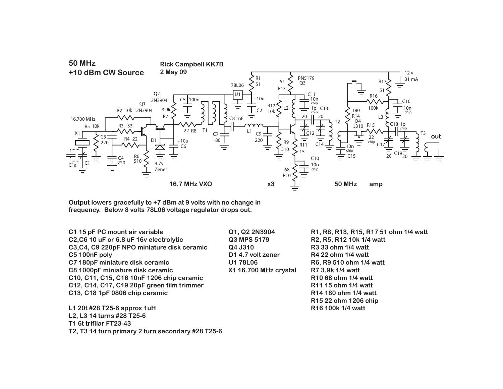

**Q1, Q2 2N3904 Q3 MPS 5179 Q4 J310**

**D1 4.7 volt zener**

**X1 16.700 MHz crystal**

**U1 78L06**

**Output lowers gracefully to +7 dBm at 9 volts with no change in frequency. Below 8 volts 78L06 voltage regulator drops out.**

**C1 15 pF PC mount air variable C2,C6 10 uF or 6.8 uF 16v electrolytic C3,C4, C9 220pF NPO miniature disk ceramic C5 100nF poly C7 180pF miniature disk ceramic C8 1000pF miniature disk ceramic C10, C11, C15, C16 10nF 1206 chip ceramic C12, C14, C17, C19 20pF green film trimmer C13, C18 1pF 0806 chip ceramic**

**L1 20t #28 T25-6 approx 1uH L2, L3 14 turns #28 T25-6 T1 6t trifilar FT23-43 T2, T3 14 turn primary 2 turn secondary #28 T25-6** **R1, R8, R13, R15, R17 51 ohm 1/4 watt R2, R5, R12 10k 1/4 watt R3 33 ohm 1/4 watt R4 22 ohm 1/4 watt R6, R9 510 ohm 1/4 watt R7 3.9k 1/4 watt R10 68 ohm 1/4 watt R11 15 ohm 1/4 watt R14 180 ohm 1/4 watt R15 22 ohm 1206 chip R16 100k 1/4 watt**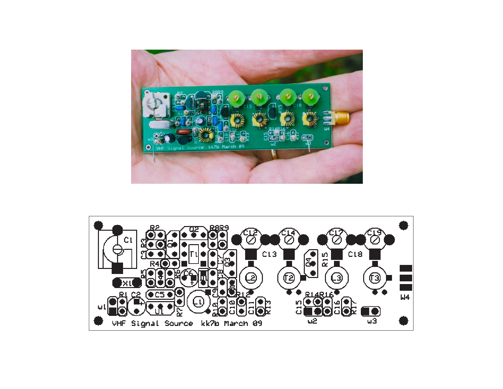

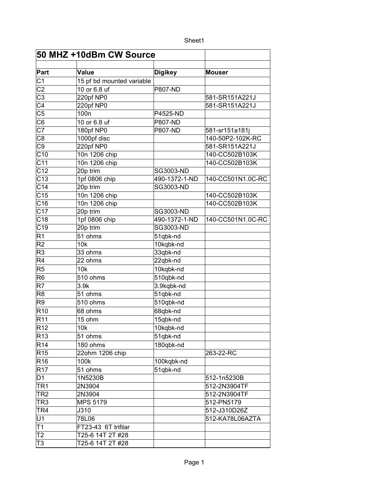Sheet1

| 50 MHZ +10dBm CW Source |                           |                |                   |
|-------------------------|---------------------------|----------------|-------------------|
|                         | <b>Value</b>              |                | <b>Mouser</b>     |
| Part<br>C <sub>1</sub>  | 15 pf bd mounted variable | <b>Digikey</b> |                   |
| C <sub>2</sub>          | 10 or 6.8 uf              | <b>P807-ND</b> |                   |
| $\overline{C3}$         | 220pf NP0                 |                | 581-SR151A221J    |
| $\overline{C4}$         | 220pf NP0                 |                | 581-SR151A221J    |
| C5                      | 100 <sub>n</sub>          | P4525-ND       |                   |
| C6                      | 10 or 6.8 uf              | P807-ND        |                   |
| C7                      | 180pf NP0                 | P807-ND        | 581-sr151a181j    |
| C <sub>8</sub>          | 1000pf disc               |                | 140-50P2-102K-RC  |
| $\overline{C9}$         | 220pf NP0                 |                | 581-SR151A221J    |
| $\overline{C10}$        | 10n 1206 chip             |                | 140-CC502B103K    |
| C11                     | 10n 1206 chip             |                | 140-CC502B103K    |
| C12                     | 20p trim                  | SG3003-ND      |                   |
| C13                     | 1pf 0806 chip             | 490-1372-1-ND  | 140-CC501N1.0C-RC |
| C <sub>14</sub>         | 20p trim                  | SG3003-ND      |                   |
| C <sub>15</sub>         | 10n 1206 chip             |                | 140-CC502B103K    |
| C16                     | 10n 1206 chip             |                | 140-CC502B103K    |
| C17                     | 20p trim                  | SG3003-ND      |                   |
| C18                     | 1pf 0806 chip             | 490-1372-1-ND  | 140-CC501N1.0C-RC |
| C <sub>19</sub>         | 20p trim                  | SG3003-ND      |                   |
| R <sub>1</sub>          | 51 ohms                   | 51qbk-nd       |                   |
| R <sub>2</sub>          | 10k                       | 10kqbk-nd      |                   |
| R3                      | 33 ohms                   | 33qbk-nd       |                   |
| R <sub>4</sub>          | 22 ohms                   | 22qbk-nd       |                   |
| R <sub>5</sub>          | 10k                       | 10kqbk-nd      |                   |
| R <sub>6</sub>          | 510 ohms                  | 510qbk-nd      |                   |
| R7                      | 3.9k                      | 3.9kqbk-nd     |                   |
| R <sub>8</sub>          | 51 ohms                   | 51qbk-nd       |                   |
| R <sub>9</sub>          | 510 ohms                  | 510qbk-nd      |                   |
| R <sub>10</sub>         | 68 ohms                   | 68qbk-nd       |                   |
| R <sub>11</sub>         | 15 ohm                    | 15qbk-nd       |                   |
| R <sub>12</sub>         | 10k                       | 10kgbk-nd      |                   |
| R <sub>13</sub>         | 51 ohms                   | 51qbk-nd       |                   |
| R <sub>14</sub>         | 180 ohms                  | 180qbk-nd      |                   |
| R <sub>15</sub>         | 22ohm 1206 chip           |                | 263-22-RC         |
| R <sub>16</sub>         | 100k                      | 100kqbk-nd     |                   |
| R <sub>17</sub>         | 51 ohms                   | 51qbk-nd       |                   |
| D1                      | 1N5230B                   |                | 512-1n5230B       |
| TR <sub>1</sub>         | 2N3904                    |                | 512-2N3904TF      |
| TR <sub>2</sub>         | 2N3904                    |                | 512-2N3904TF      |
| TR <sub>3</sub>         | <b>MPS 5179</b>           |                | 512-PN5179        |
| TR4                     | J310                      |                | 512-J310D26Z      |
| U1                      | 78L06                     |                | 512-KA78L06AZTA   |
| T1                      | FT23-43 6T trifilar       |                |                   |
| T <sub>2</sub>          | T25-6 14T 2T #28          |                |                   |
| T3                      | T25-6 14T 2T #28          |                |                   |